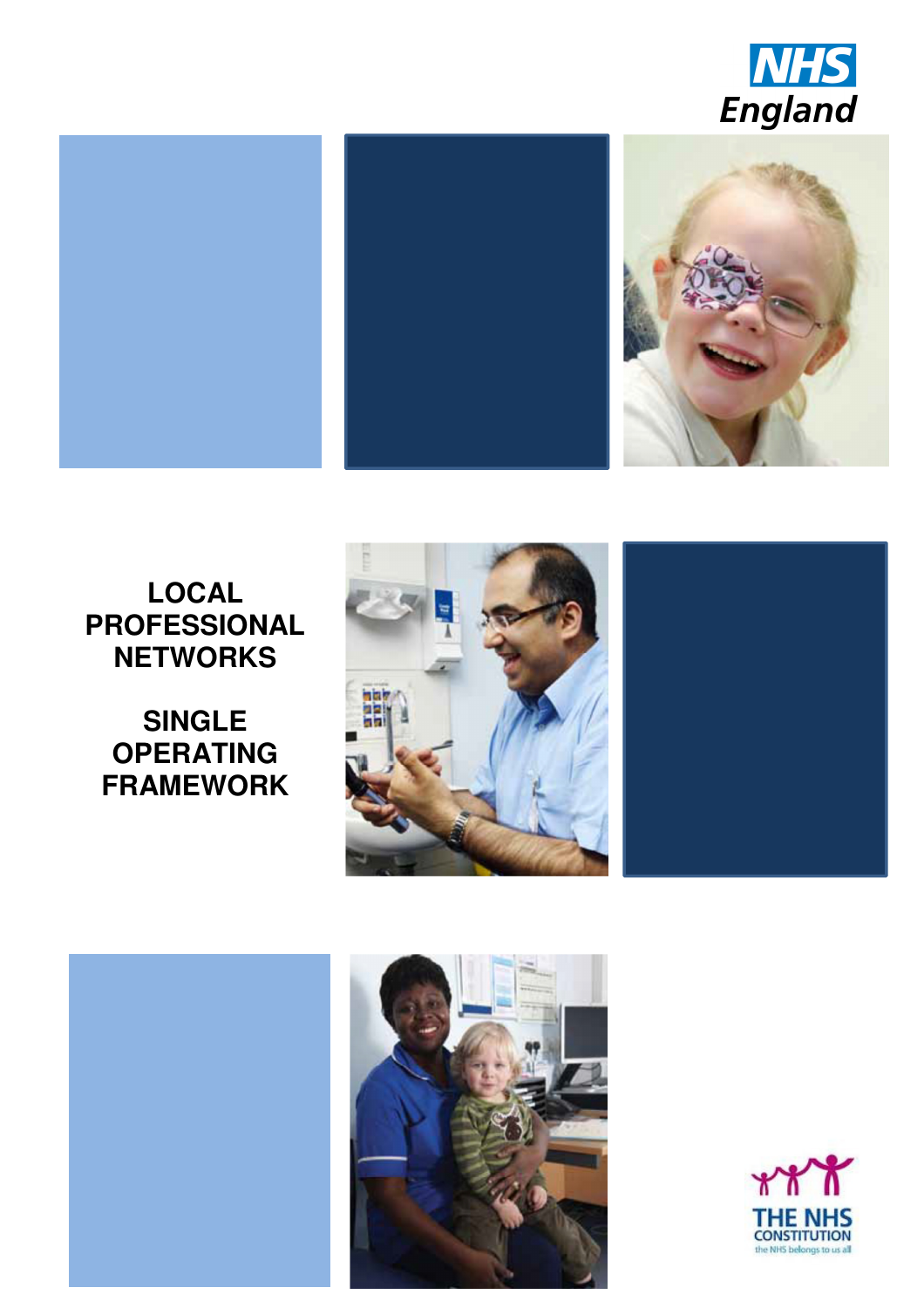





# **LOCAL PROFESSIONAL NETWORKS**

**SINGLE OPERATING FRAMEWORK**







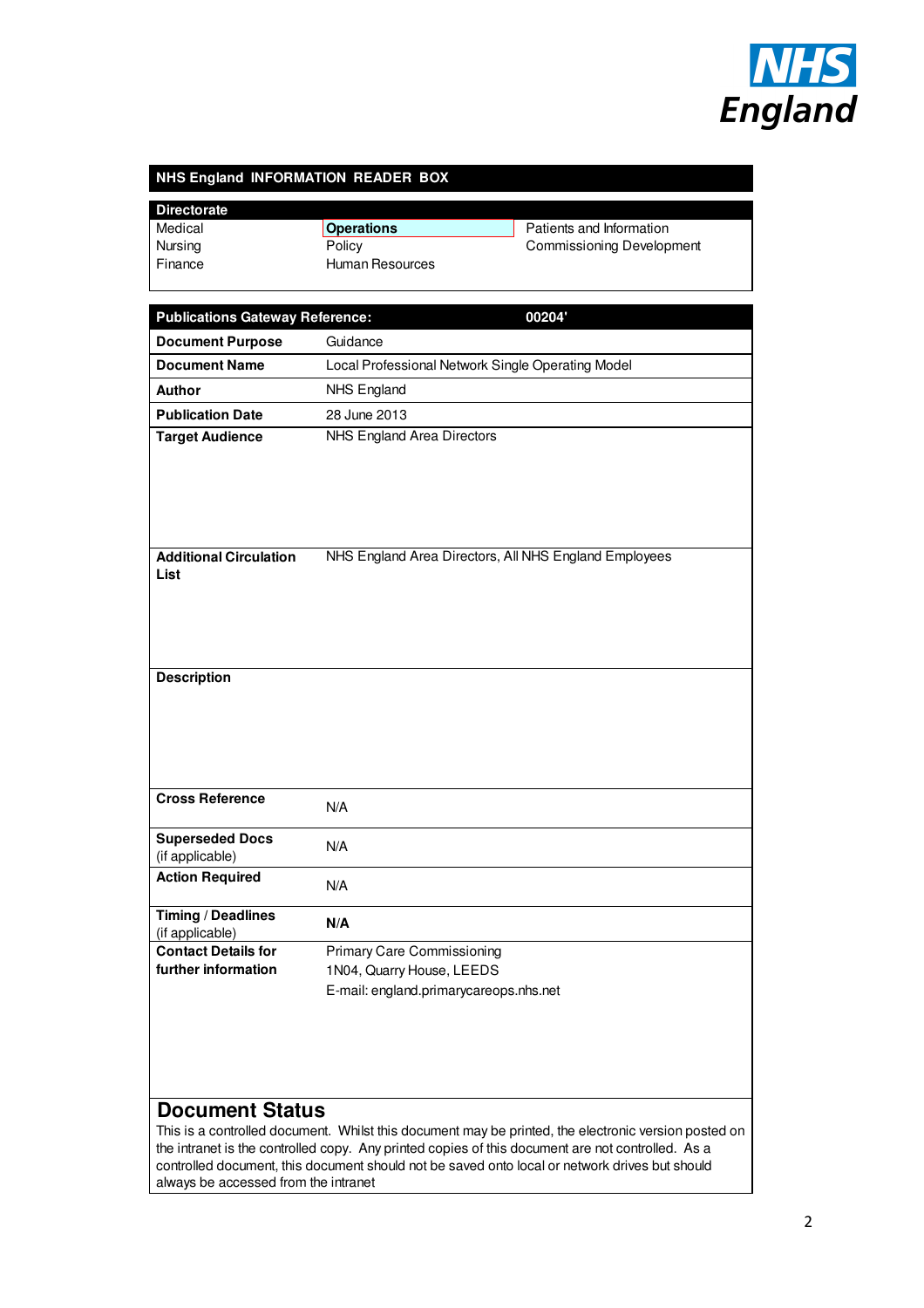

#### **NHS England INFORMATION READER BOX**

| <b>Directorate</b>                                                                                |                                                       |                                                                                                      |  |
|---------------------------------------------------------------------------------------------------|-------------------------------------------------------|------------------------------------------------------------------------------------------------------|--|
| Medical                                                                                           | <b>Operations</b>                                     | Patients and Information                                                                             |  |
| Nursing                                                                                           | Policy                                                | <b>Commissioning Development</b>                                                                     |  |
| Finance                                                                                           | <b>Human Resources</b>                                |                                                                                                      |  |
|                                                                                                   |                                                       |                                                                                                      |  |
| <b>Publications Gateway Reference:</b><br>00204'                                                  |                                                       |                                                                                                      |  |
| <b>Document Purpose</b>                                                                           | Guidance                                              |                                                                                                      |  |
| <b>Document Name</b>                                                                              |                                                       |                                                                                                      |  |
|                                                                                                   |                                                       | Local Professional Network Single Operating Model                                                    |  |
| <b>Author</b>                                                                                     | <b>NHS England</b>                                    |                                                                                                      |  |
| <b>Publication Date</b>                                                                           | 28 June 2013                                          |                                                                                                      |  |
| <b>Target Audience</b>                                                                            | NHS England Area Directors                            |                                                                                                      |  |
|                                                                                                   |                                                       |                                                                                                      |  |
|                                                                                                   |                                                       |                                                                                                      |  |
|                                                                                                   |                                                       |                                                                                                      |  |
|                                                                                                   |                                                       |                                                                                                      |  |
|                                                                                                   |                                                       |                                                                                                      |  |
| <b>Additional Circulation</b><br>List                                                             | NHS England Area Directors, All NHS England Employees |                                                                                                      |  |
|                                                                                                   |                                                       |                                                                                                      |  |
|                                                                                                   |                                                       |                                                                                                      |  |
|                                                                                                   |                                                       |                                                                                                      |  |
|                                                                                                   |                                                       |                                                                                                      |  |
| <b>Description</b>                                                                                |                                                       |                                                                                                      |  |
|                                                                                                   |                                                       |                                                                                                      |  |
|                                                                                                   |                                                       |                                                                                                      |  |
|                                                                                                   |                                                       |                                                                                                      |  |
|                                                                                                   |                                                       |                                                                                                      |  |
|                                                                                                   |                                                       |                                                                                                      |  |
| <b>Cross Reference</b>                                                                            |                                                       |                                                                                                      |  |
|                                                                                                   | N/A                                                   |                                                                                                      |  |
| <b>Superseded Docs</b>                                                                            | N/A                                                   |                                                                                                      |  |
| (if applicable)                                                                                   |                                                       |                                                                                                      |  |
| <b>Action Required</b>                                                                            | N/A                                                   |                                                                                                      |  |
|                                                                                                   |                                                       |                                                                                                      |  |
| <b>Timing / Deadlines</b>                                                                         | N/A                                                   |                                                                                                      |  |
| (if applicable)<br><b>Contact Details for</b>                                                     | <b>Primary Care Commissioning</b>                     |                                                                                                      |  |
| further information                                                                               | 1N04, Quarry House, LEEDS                             |                                                                                                      |  |
|                                                                                                   | E-mail: england.primarycareops.nhs.net                |                                                                                                      |  |
|                                                                                                   |                                                       |                                                                                                      |  |
|                                                                                                   |                                                       |                                                                                                      |  |
|                                                                                                   |                                                       |                                                                                                      |  |
|                                                                                                   |                                                       |                                                                                                      |  |
|                                                                                                   |                                                       |                                                                                                      |  |
| <b>Document Status</b>                                                                            |                                                       |                                                                                                      |  |
|                                                                                                   |                                                       | This is a controlled document. Whilst this document may be printed, the electronic version posted on |  |
| the intranet is the controlled copy. Any printed copies of this document are not controlled. As a |                                                       |                                                                                                      |  |
|                                                                                                   |                                                       |                                                                                                      |  |

controlled document, this document should not be saved onto local or network drives but should always be accessed from the intranet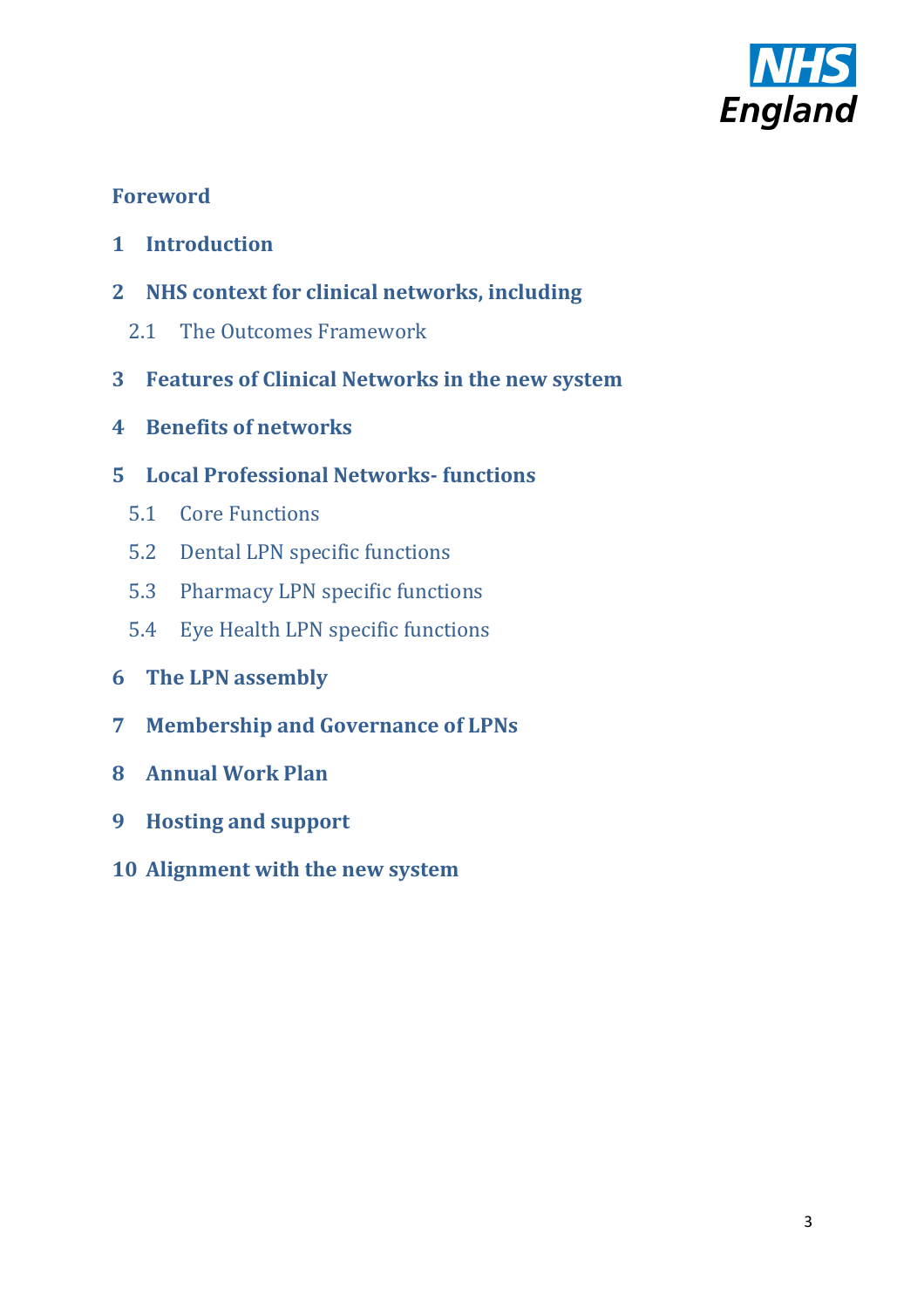

# **Foreword**

- **1 Introduction**
- **2 NHS context for clinical networks, including** 
	- 2.1 The Outcomes Framework
- **3 Features of Clinical Networks in the new system**
- **4 Benefits of networks**
- **5 Local Professional Networks- functions** 
	- 5.1 Core Functions
	- 5.2 Dental LPN specific functions
	- 5.3 Pharmacy LPN specific functions
	- 5.4 Eye Health LPN specific functions
- **6 The LPN assembly**
- **7 Membership and Governance of LPNs**
- **8 Annual Work Plan**
- **9 Hosting and support**
- **10 Alignment with the new system**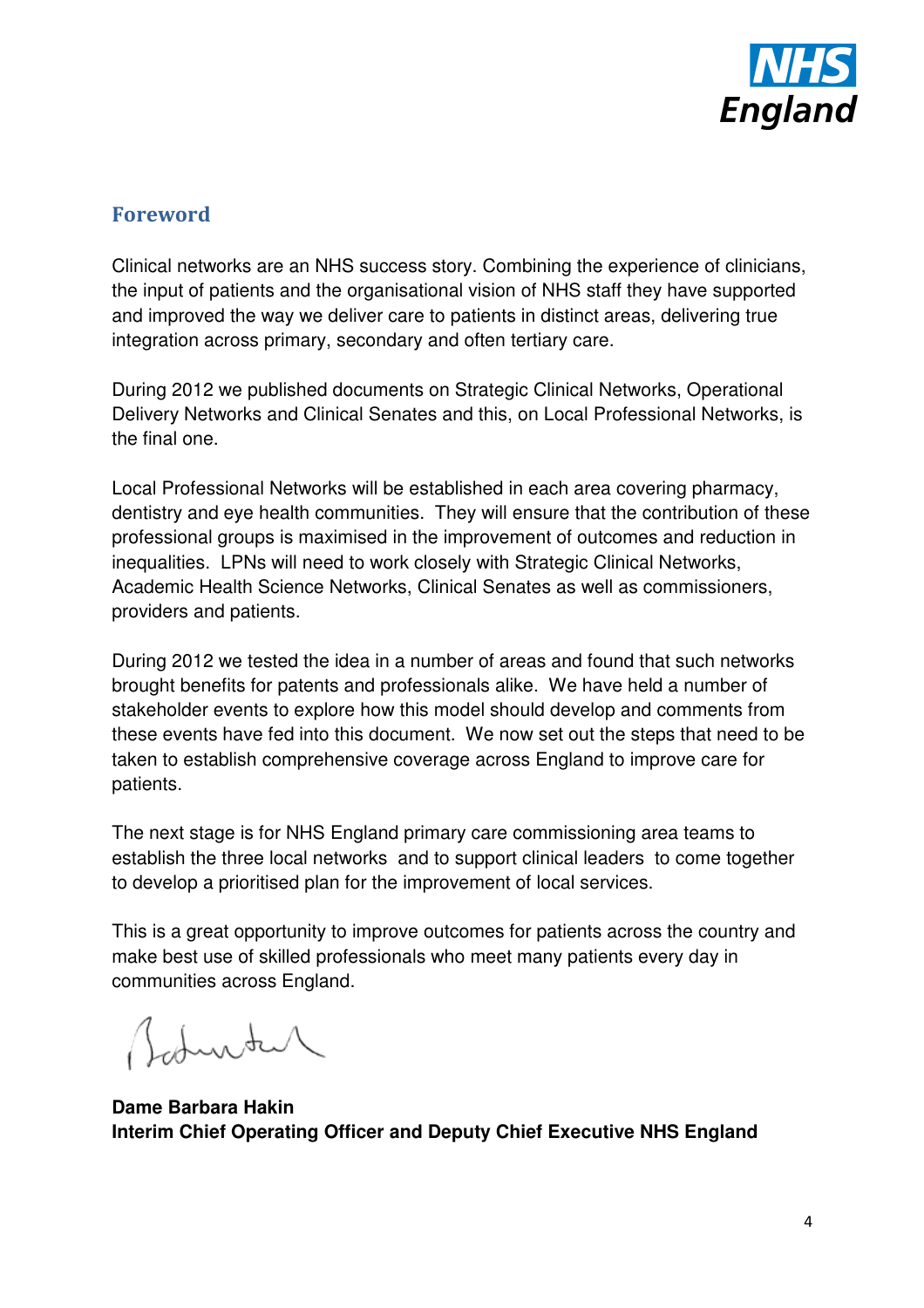

## **Foreword**

Clinical networks are an NHS success story. Combining the experience of clinicians, the input of patients and the organisational vision of NHS staff they have supported and improved the way we deliver care to patients in distinct areas, delivering true integration across primary, secondary and often tertiary care.

During 2012 we published documents on Strategic Clinical Networks, Operational Delivery Networks and Clinical Senates and this, on Local Professional Networks, is the final one.

Local Professional Networks will be established in each area covering pharmacy, dentistry and eye health communities. They will ensure that the contribution of these professional groups is maximised in the improvement of outcomes and reduction in inequalities. LPNs will need to work closely with Strategic Clinical Networks, Academic Health Science Networks, Clinical Senates as well as commissioners, providers and patients.

During 2012 we tested the idea in a number of areas and found that such networks brought benefits for patents and professionals alike. We have held a number of stakeholder events to explore how this model should develop and comments from these events have fed into this document. We now set out the steps that need to be taken to establish comprehensive coverage across England to improve care for patients.

The next stage is for NHS England primary care commissioning area teams to establish the three local networks and to support clinical leaders to come together to develop a prioritised plan for the improvement of local services.

This is a great opportunity to improve outcomes for patients across the country and make best use of skilled professionals who meet many patients every day in communities across England.

Auste

**Dame Barbara Hakin Interim Chief Operating Officer and Deputy Chief Executive NHS England**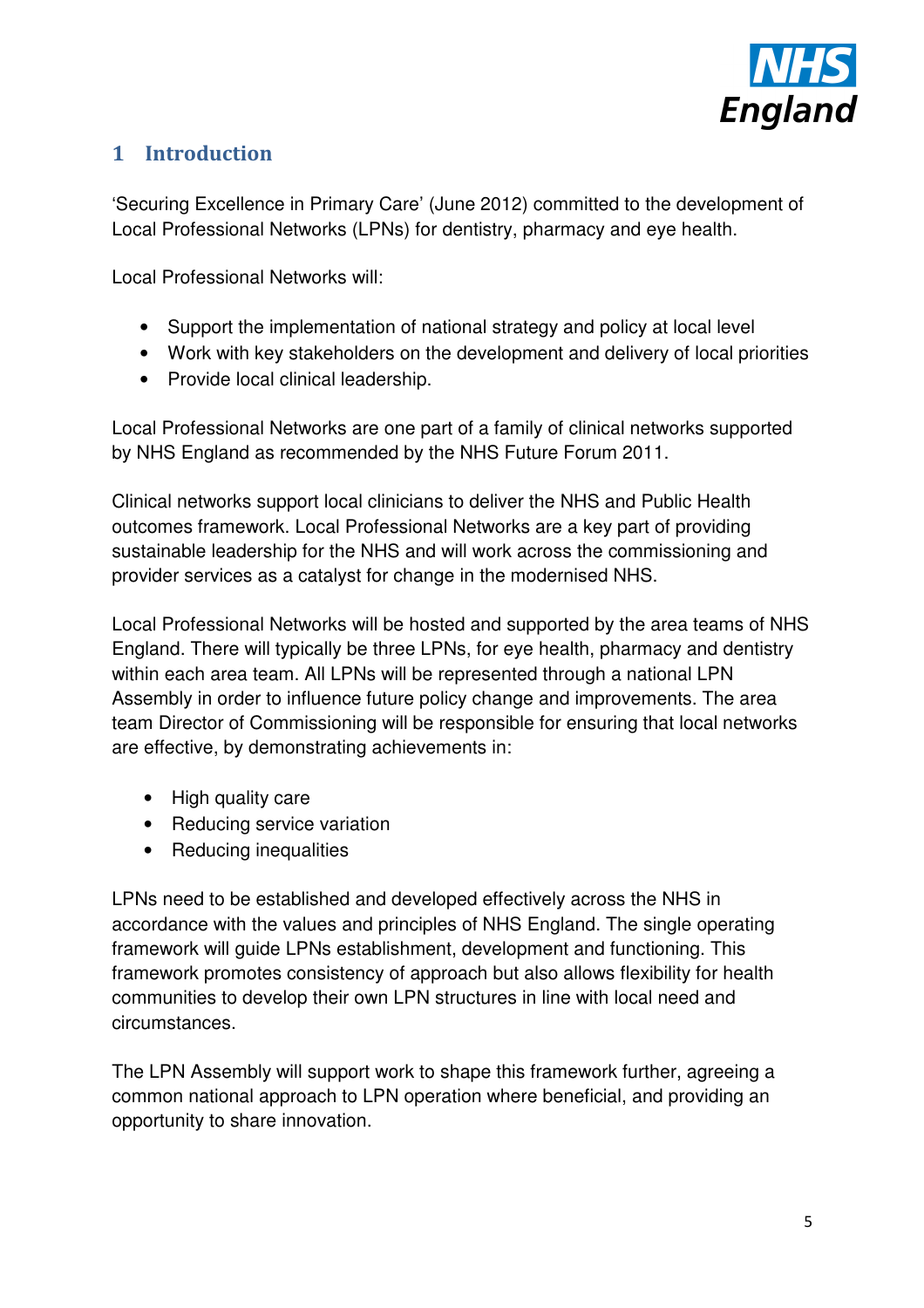

# **1 Introduction**

'Securing Excellence in Primary Care' (June 2012) committed to the development of Local Professional Networks (LPNs) for dentistry, pharmacy and eye health.

Local Professional Networks will:

- Support the implementation of national strategy and policy at local level
- Work with key stakeholders on the development and delivery of local priorities
- Provide local clinical leadership.

Local Professional Networks are one part of a family of clinical networks supported by NHS England as recommended by the NHS Future Forum 2011.

Clinical networks support local clinicians to deliver the NHS and Public Health outcomes framework. Local Professional Networks are a key part of providing sustainable leadership for the NHS and will work across the commissioning and provider services as a catalyst for change in the modernised NHS.

Local Professional Networks will be hosted and supported by the area teams of NHS England. There will typically be three LPNs, for eye health, pharmacy and dentistry within each area team. All LPNs will be represented through a national LPN Assembly in order to influence future policy change and improvements. The area team Director of Commissioning will be responsible for ensuring that local networks are effective, by demonstrating achievements in:

- High quality care
- Reducing service variation
- Reducing inequalities

LPNs need to be established and developed effectively across the NHS in accordance with the values and principles of NHS England. The single operating framework will guide LPNs establishment, development and functioning. This framework promotes consistency of approach but also allows flexibility for health communities to develop their own LPN structures in line with local need and circumstances.

The LPN Assembly will support work to shape this framework further, agreeing a common national approach to LPN operation where beneficial, and providing an opportunity to share innovation.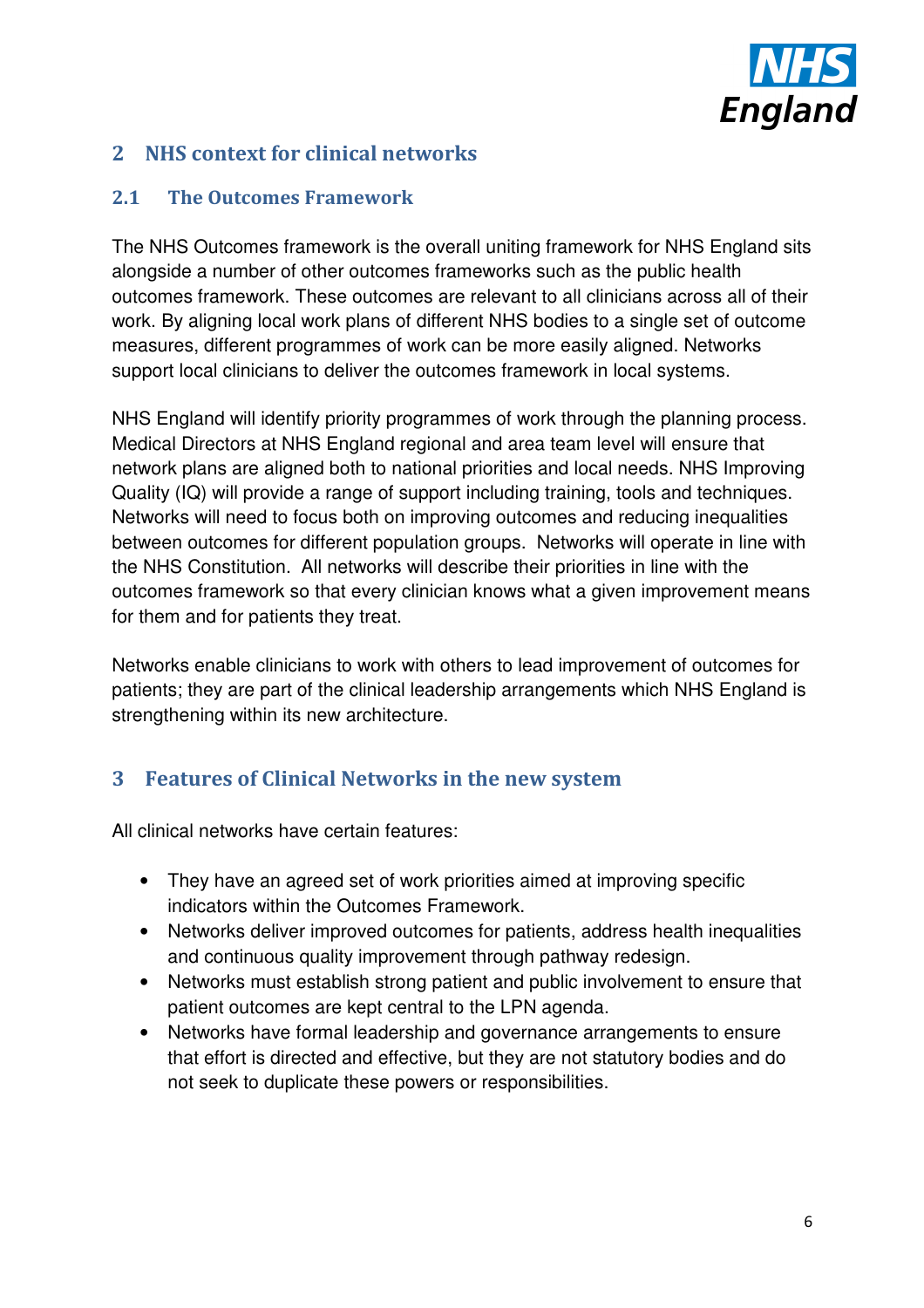

# **2 NHS context for clinical networks**

### **2.1 The Outcomes Framework**

The NHS Outcomes framework is the overall uniting framework for NHS England sits alongside a number of other outcomes frameworks such as the public health outcomes framework. These outcomes are relevant to all clinicians across all of their work. By aligning local work plans of different NHS bodies to a single set of outcome measures, different programmes of work can be more easily aligned. Networks support local clinicians to deliver the outcomes framework in local systems.

NHS England will identify priority programmes of work through the planning process. Medical Directors at NHS England regional and area team level will ensure that network plans are aligned both to national priorities and local needs. NHS Improving Quality (IQ) will provide a range of support including training, tools and techniques. Networks will need to focus both on improving outcomes and reducing inequalities between outcomes for different population groups. Networks will operate in line with the NHS Constitution. All networks will describe their priorities in line with the outcomes framework so that every clinician knows what a given improvement means for them and for patients they treat.

Networks enable clinicians to work with others to lead improvement of outcomes for patients; they are part of the clinical leadership arrangements which NHS England is strengthening within its new architecture.

# **3 Features of Clinical Networks in the new system**

All clinical networks have certain features:

- They have an agreed set of work priorities aimed at improving specific indicators within the Outcomes Framework.
- Networks deliver improved outcomes for patients, address health inequalities and continuous quality improvement through pathway redesign.
- Networks must establish strong patient and public involvement to ensure that patient outcomes are kept central to the LPN agenda.
- Networks have formal leadership and governance arrangements to ensure that effort is directed and effective, but they are not statutory bodies and do not seek to duplicate these powers or responsibilities.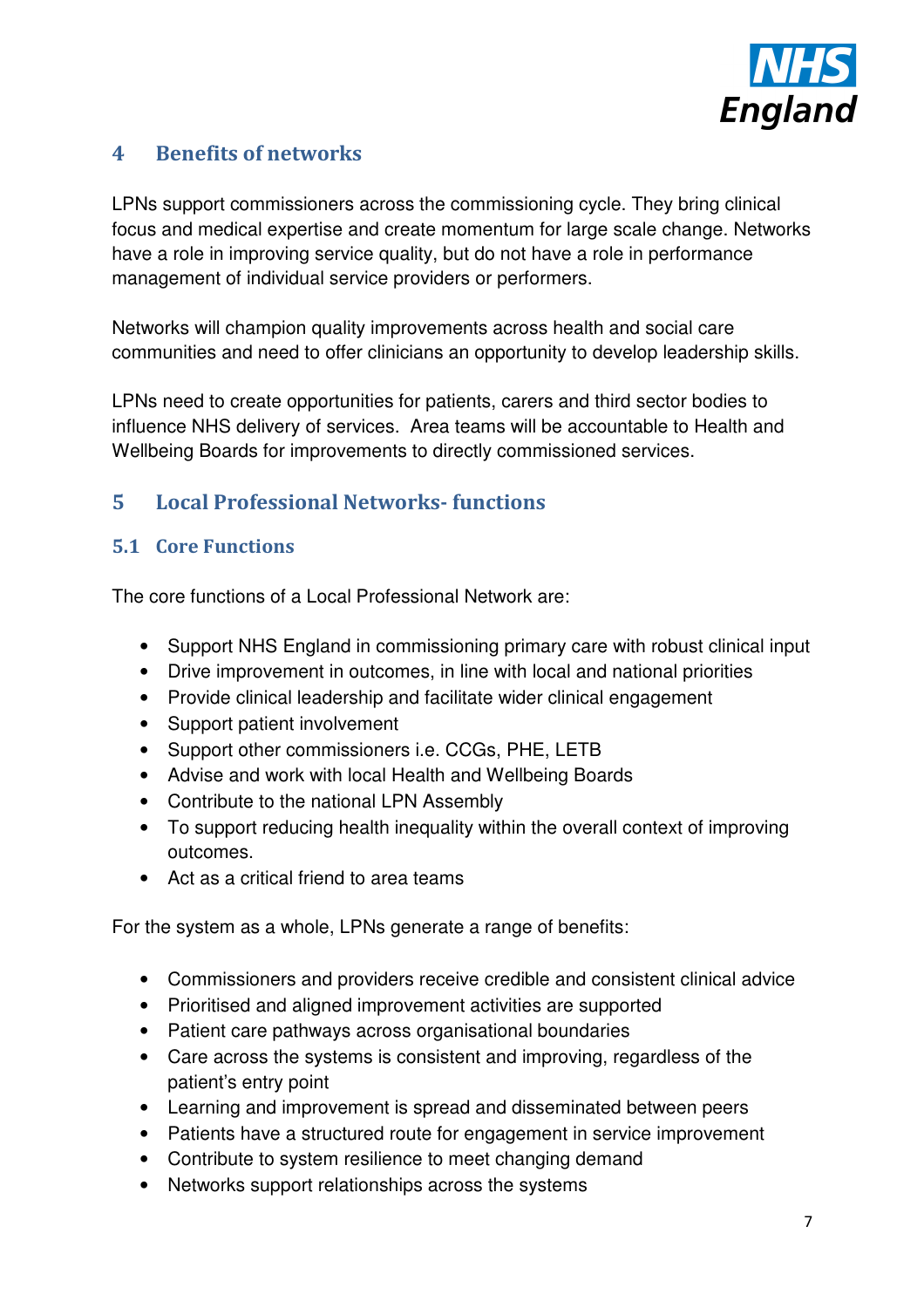

# **4 Benefits of networks**

LPNs support commissioners across the commissioning cycle. They bring clinical focus and medical expertise and create momentum for large scale change. Networks have a role in improving service quality, but do not have a role in performance management of individual service providers or performers.

Networks will champion quality improvements across health and social care communities and need to offer clinicians an opportunity to develop leadership skills.

LPNs need to create opportunities for patients, carers and third sector bodies to influence NHS delivery of services. Area teams will be accountable to Health and Wellbeing Boards for improvements to directly commissioned services.

# **5 Local Professional Networks- functions**

#### **5.1 Core Functions**

The core functions of a Local Professional Network are:

- Support NHS England in commissioning primary care with robust clinical input
- Drive improvement in outcomes, in line with local and national priorities
- Provide clinical leadership and facilitate wider clinical engagement
- Support patient involvement
- Support other commissioners i.e. CCGs, PHE, LETB
- Advise and work with local Health and Wellbeing Boards
- Contribute to the national LPN Assembly
- To support reducing health inequality within the overall context of improving outcomes.
- Act as a critical friend to area teams

For the system as a whole, LPNs generate a range of benefits:

- Commissioners and providers receive credible and consistent clinical advice
- Prioritised and aligned improvement activities are supported
- Patient care pathways across organisational boundaries
- Care across the systems is consistent and improving, regardless of the patient's entry point
- Learning and improvement is spread and disseminated between peers
- Patients have a structured route for engagement in service improvement
- Contribute to system resilience to meet changing demand
- Networks support relationships across the systems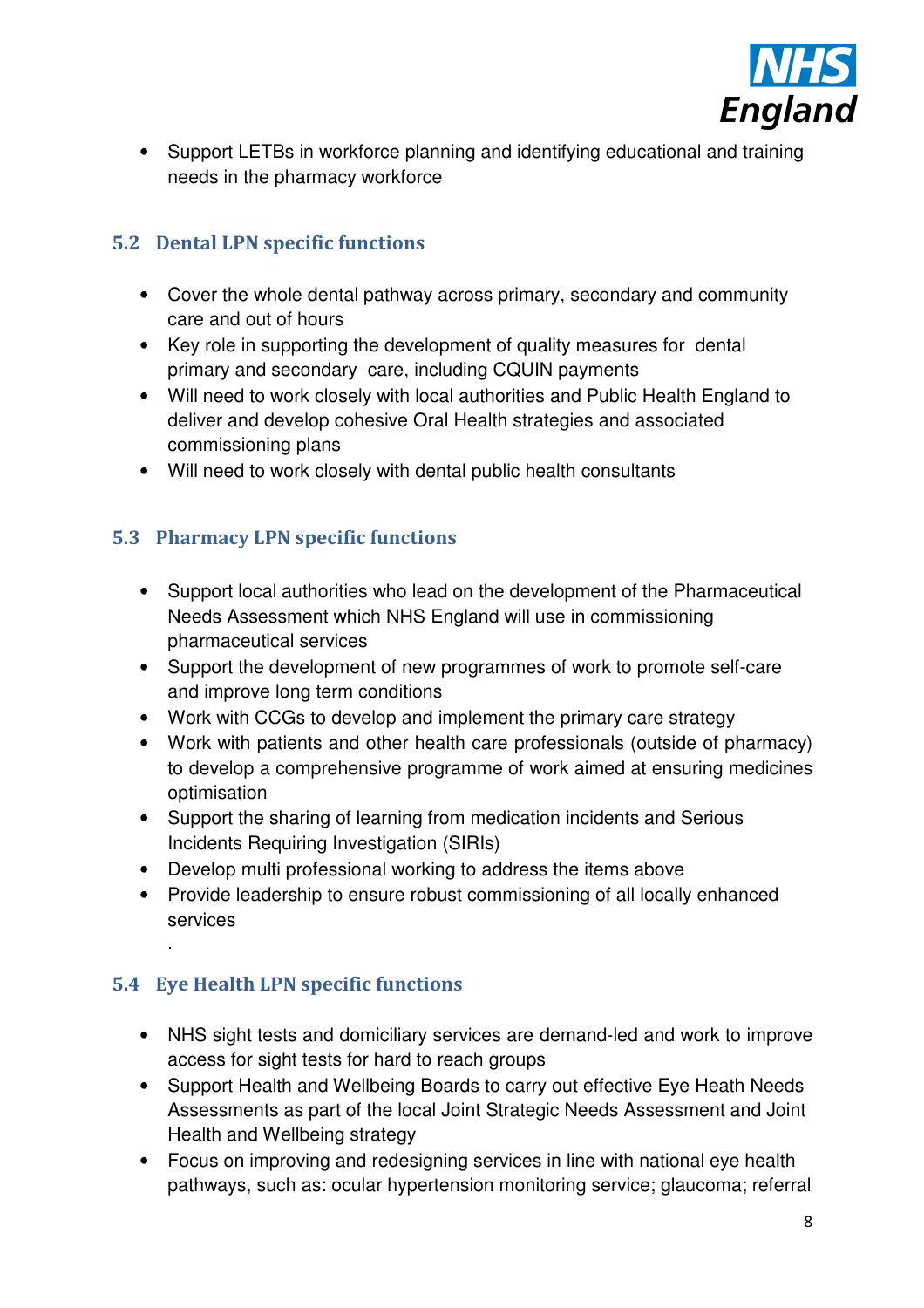

• Support LETBs in workforce planning and identifying educational and training needs in the pharmacy workforce

## **5.2 Dental LPN specific functions**

- Cover the whole dental pathway across primary, secondary and community care and out of hours
- Key role in supporting the development of quality measures for dental primary and secondary care, including CQUIN payments
- Will need to work closely with local authorities and Public Health England to deliver and develop cohesive Oral Health strategies and associated commissioning plans
- Will need to work closely with dental public health consultants

# **5.3 Pharmacy LPN specific functions**

- Support local authorities who lead on the development of the Pharmaceutical Needs Assessment which NHS England will use in commissioning pharmaceutical services
- Support the development of new programmes of work to promote self-care and improve long term conditions
- Work with CCGs to develop and implement the primary care strategy
- Work with patients and other health care professionals (outside of pharmacy) to develop a comprehensive programme of work aimed at ensuring medicines optimisation
- Support the sharing of learning from medication incidents and Serious Incidents Requiring Investigation (SIRIs)
- Develop multi professional working to address the items above
- Provide leadership to ensure robust commissioning of all locally enhanced services

# **5.4 Eye Health LPN specific functions**

.

- NHS sight tests and domiciliary services are demand-led and work to improve access for sight tests for hard to reach groups
- Support Health and Wellbeing Boards to carry out effective Eye Heath Needs Assessments as part of the local Joint Strategic Needs Assessment and Joint Health and Wellbeing strategy
- Focus on improving and redesigning services in line with national eye health pathways, such as: ocular hypertension monitoring service; glaucoma; referral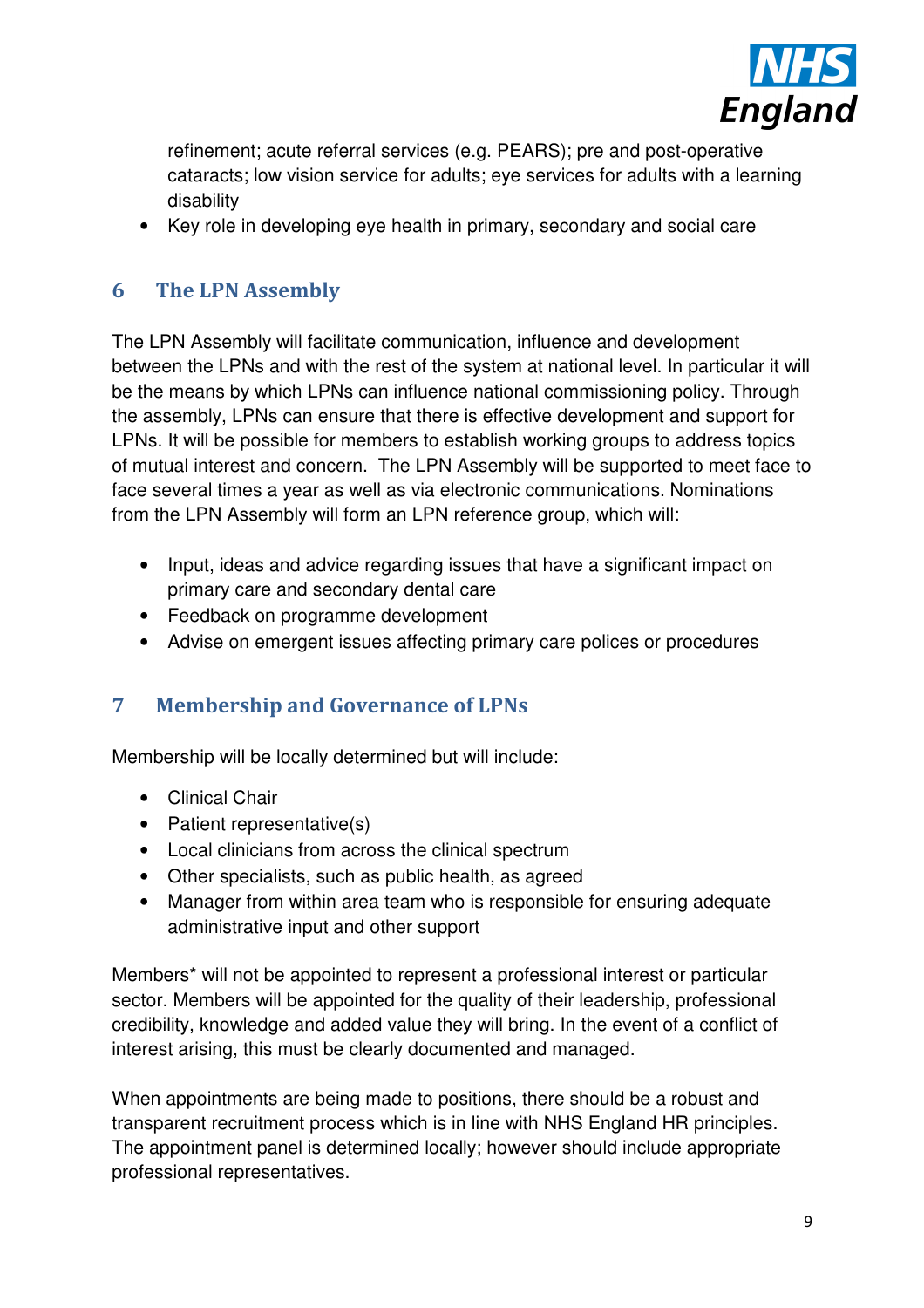

refinement; acute referral services (e.g. PEARS); pre and post-operative cataracts; low vision service for adults; eye services for adults with a learning disability

• Key role in developing eye health in primary, secondary and social care

# **6 The LPN Assembly**

The LPN Assembly will facilitate communication, influence and development between the LPNs and with the rest of the system at national level. In particular it will be the means by which LPNs can influence national commissioning policy. Through the assembly, LPNs can ensure that there is effective development and support for LPNs. It will be possible for members to establish working groups to address topics of mutual interest and concern. The LPN Assembly will be supported to meet face to face several times a year as well as via electronic communications. Nominations from the LPN Assembly will form an LPN reference group, which will:

- Input, ideas and advice regarding issues that have a significant impact on primary care and secondary dental care
- Feedback on programme development
- Advise on emergent issues affecting primary care polices or procedures

# **7 Membership and Governance of LPNs**

Membership will be locally determined but will include:

- Clinical Chair
- Patient representative(s)
- Local clinicians from across the clinical spectrum
- Other specialists, such as public health, as agreed
- Manager from within area team who is responsible for ensuring adequate administrative input and other support

Members\* will not be appointed to represent a professional interest or particular sector. Members will be appointed for the quality of their leadership, professional credibility, knowledge and added value they will bring. In the event of a conflict of interest arising, this must be clearly documented and managed.

When appointments are being made to positions, there should be a robust and transparent recruitment process which is in line with NHS England HR principles. The appointment panel is determined locally; however should include appropriate professional representatives.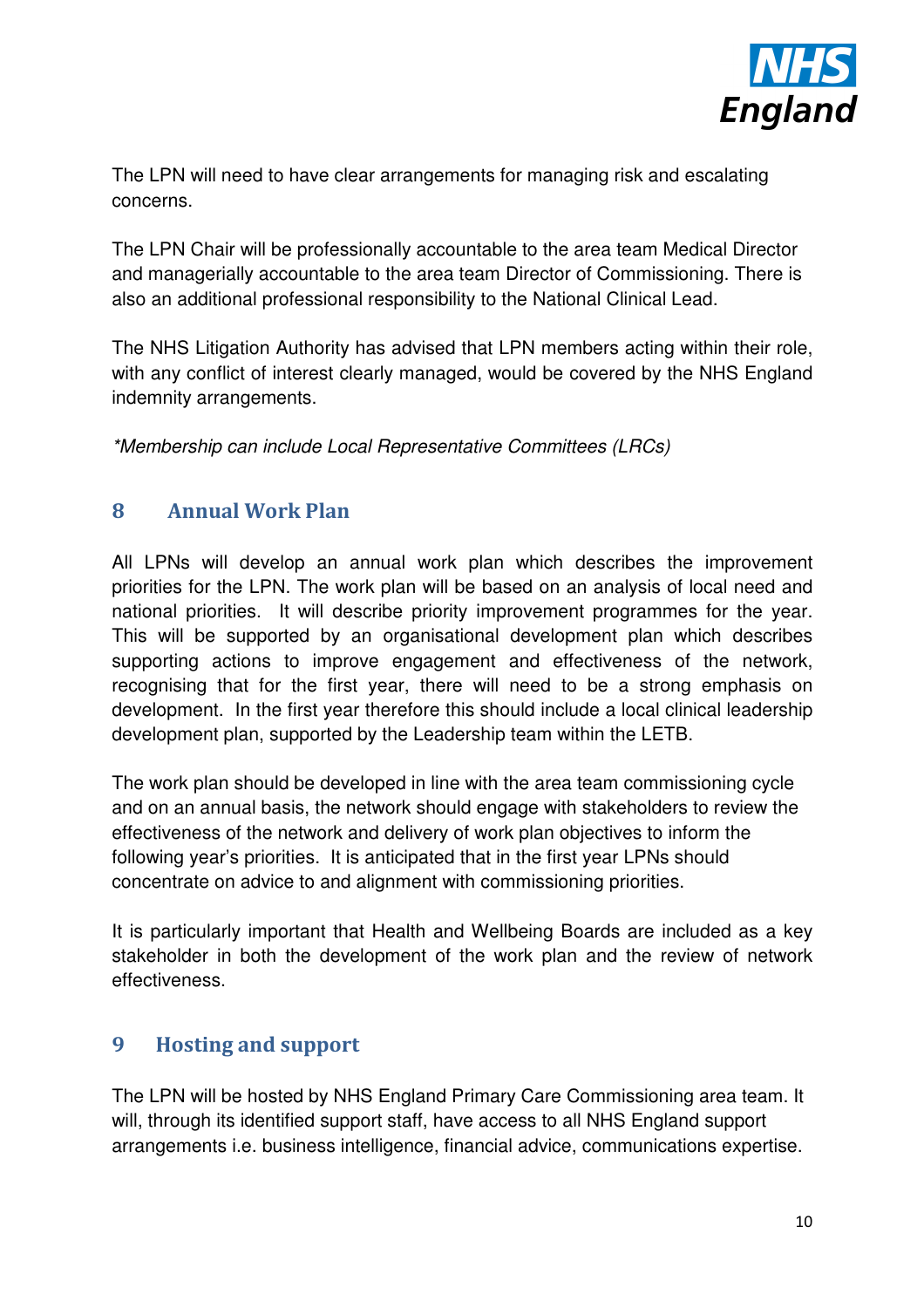

The LPN will need to have clear arrangements for managing risk and escalating concerns.

The LPN Chair will be professionally accountable to the area team Medical Director and managerially accountable to the area team Director of Commissioning. There is also an additional professional responsibility to the National Clinical Lead.

The NHS Litigation Authority has advised that LPN members acting within their role, with any conflict of interest clearly managed, would be covered by the NHS England indemnity arrangements.

\*Membership can include Local Representative Committees (LRCs)

# **8 Annual Work Plan**

All LPNs will develop an annual work plan which describes the improvement priorities for the LPN. The work plan will be based on an analysis of local need and national priorities. It will describe priority improvement programmes for the year. This will be supported by an organisational development plan which describes supporting actions to improve engagement and effectiveness of the network, recognising that for the first year, there will need to be a strong emphasis on development. In the first year therefore this should include a local clinical leadership development plan, supported by the Leadership team within the LETB.

The work plan should be developed in line with the area team commissioning cycle and on an annual basis, the network should engage with stakeholders to review the effectiveness of the network and delivery of work plan objectives to inform the following year's priorities. It is anticipated that in the first year LPNs should concentrate on advice to and alignment with commissioning priorities.

It is particularly important that Health and Wellbeing Boards are included as a key stakeholder in both the development of the work plan and the review of network effectiveness.

# **9 Hosting and support**

The LPN will be hosted by NHS England Primary Care Commissioning area team. It will, through its identified support staff, have access to all NHS England support arrangements i.e. business intelligence, financial advice, communications expertise.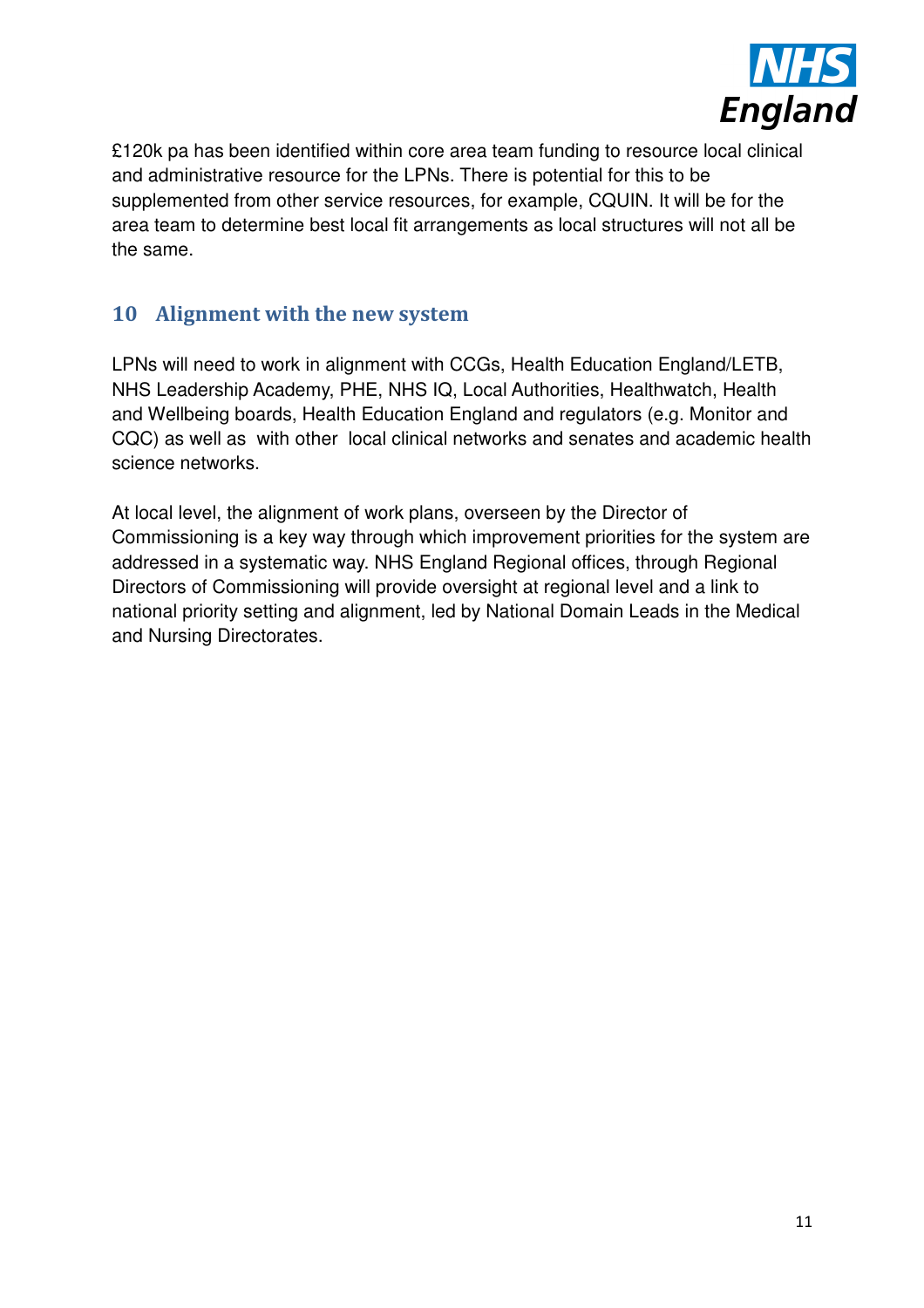

£120k pa has been identified within core area team funding to resource local clinical and administrative resource for the LPNs. There is potential for this to be supplemented from other service resources, for example, CQUIN. It will be for the area team to determine best local fit arrangements as local structures will not all be the same.

## **10 Alignment with the new system**

LPNs will need to work in alignment with CCGs, Health Education England/LETB, NHS Leadership Academy, PHE, NHS IQ, Local Authorities, Healthwatch, Health and Wellbeing boards, Health Education England and regulators (e.g. Monitor and CQC) as well as with other local clinical networks and senates and academic health science networks.

At local level, the alignment of work plans, overseen by the Director of Commissioning is a key way through which improvement priorities for the system are addressed in a systematic way. NHS England Regional offices, through Regional Directors of Commissioning will provide oversight at regional level and a link to national priority setting and alignment, led by National Domain Leads in the Medical and Nursing Directorates.